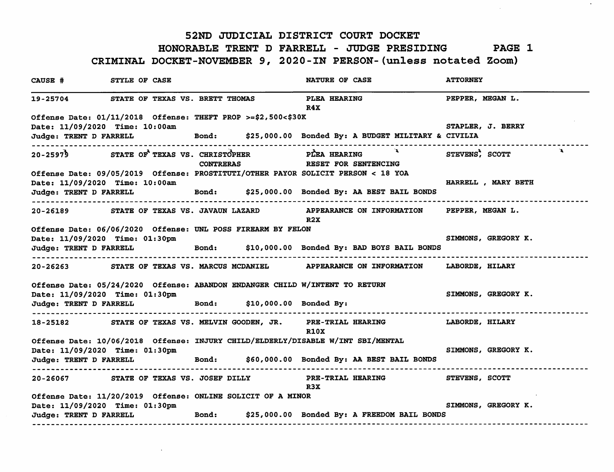#### 52ND JUDICIAL DISTRICT COURT DOCKET

## HONORABLE TRENT D FARRELL - JUDGE PRESIDING PAGE 1

### CRIMINAL DOCKET-NOVEMBER 9, 2020-IN PERSON-(unless notated Zoom)

| CAUSE #                                                                     | STYLE OF CASE |                  |  | NATURE OF CASE                                                                                       | <b>ATTORNEY</b>     |  |  |
|-----------------------------------------------------------------------------|---------------|------------------|--|------------------------------------------------------------------------------------------------------|---------------------|--|--|
| 19-25704 STATE OF TEXAS VS. BRETT THOMAS                                    |               |                  |  | <b>PLEA HEARING</b><br>R4X                                                                           | PEPPER, MEGAN L.    |  |  |
| Offense Date: 01/11/2018 Offense: THEFT PROP >=\$2,500<\$30K                |               |                  |  |                                                                                                      |                     |  |  |
| Date: 11/09/2020 Time: 10:00am                                              |               |                  |  |                                                                                                      | STAPLER, J. BERRY   |  |  |
|                                                                             |               |                  |  | Judge: TRENT D FARRELL Bond: \$25,000.00 Bonded By: A BUDGET MILITARY & CIVILIA                      |                     |  |  |
| ------------------------                                                    |               | <b>CONTRERAS</b> |  | 20-25979 STATE OF TEXAS VS. CHRISTOPHER PLEA HEARING A STEVENS, SCOTT<br><b>RESET FOR SENTENCING</b> |                     |  |  |
|                                                                             |               |                  |  | Offense Date: 09/05/2019 Offense: PROSTITUTI/OTHER PAYOR SOLICIT PERSON < 18 YOA                     |                     |  |  |
| Date: 11/09/2020 Time: 10:00am                                              |               |                  |  | Judge: TRENT D FARRELL Bond: \$25,000.00 Bonded By: AA BEST BAIL BONDS                               | HARRELL, MARY BETH  |  |  |
| -----------------------------------                                         |               |                  |  | 20-26189 STATE OF TEXAS VS. JAVAUN LAZARD APPEARANCE ON INFORMATION PEPPER, MEGAN L.<br>R2X          |                     |  |  |
| Offense Date: 06/06/2020 Offense: UNL POSS FIREARM BY FELON                 |               |                  |  |                                                                                                      |                     |  |  |
| Date: 11/09/2020 Time: 01:30pm                                              |               |                  |  |                                                                                                      | SIMMONS, GREGORY K. |  |  |
|                                                                             |               |                  |  | Judge: TRENT D FARRELL Bond: \$10,000.00 Bonded By: BAD BOYS BAIL BONDS                              |                     |  |  |
|                                                                             |               |                  |  | 20-26263 STATE OF TEXAS VS. MARCUS MCDANIEL APPEARANCE ON INFORMATION LABORDE, HILARY                |                     |  |  |
| Offense Date: 05/24/2020 Offense: ABANDON ENDANGER CHILD W/INTENT TO RETURN |               |                  |  |                                                                                                      |                     |  |  |
| Date: 11/09/2020 Time: 01:30pm                                              |               |                  |  |                                                                                                      | SIMMONS, GREGORY K. |  |  |
| Judge: TRENT D FARRELL Bond: \$10,000.00 Bonded By:                         |               |                  |  |                                                                                                      |                     |  |  |
|                                                                             |               |                  |  | 18-25182 STATE OF TEXAS VS. MELVIN GOODEN, JR. PRE-TRIAL HEARING LABORDE, HILARY<br><b>R10X</b>      |                     |  |  |
|                                                                             |               |                  |  | Offense Date: 10/06/2018 Offense: INJURY CHILD/ELDERLY/DISABLE W/INT SBI/MENTAL                      |                     |  |  |
| Date: 11/09/2020 Time: 01:30pm                                              |               |                  |  |                                                                                                      | SIMMONS, GREGORY K. |  |  |
|                                                                             |               |                  |  | Judge: TRENT D FARRELL Bond: \$60,000.00 Bonded By: AA BEST BAIL BONDS                               |                     |  |  |
|                                                                             |               |                  |  | 20-26067 STATE OF TEXAS VS. JOSEF DILLY PRE-TRIAL HEARING STEVENS, SCOTT<br>R3X                      |                     |  |  |
| Offense Date: 11/20/2019 Offense: ONLINE SOLICIT OF A MINOR                 |               |                  |  |                                                                                                      |                     |  |  |
| Date: 11/09/2020 Time: 01:30pm                                              |               |                  |  |                                                                                                      | SIMMONS, GREGORY K. |  |  |
|                                                                             |               |                  |  | Judge: TRENT D FARRELL Bond: \$25,000.00 Bonded By: A FREEDOM BAIL BONDS                             |                     |  |  |